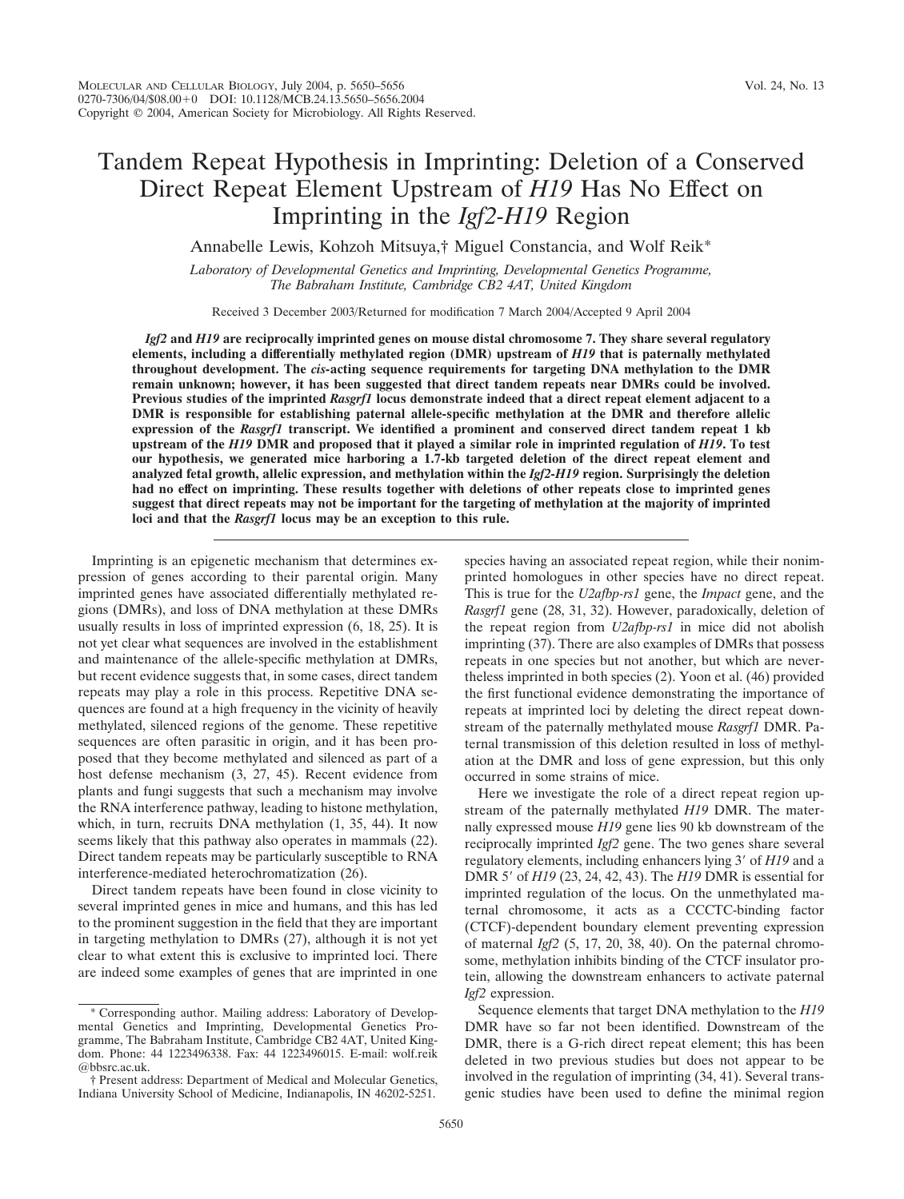# Tandem Repeat Hypothesis in Imprinting: Deletion of a Conserved Direct Repeat Element Upstream of *H19* Has No Effect on Imprinting in the *Igf2-H19* Region

Annabelle Lewis, Kohzoh Mitsuya,† Miguel Constancia, and Wolf Reik\*

*Laboratory of Developmental Genetics and Imprinting, Developmental Genetics Programme, The Babraham Institute, Cambridge CB2 4AT, United Kingdom*

Received 3 December 2003/Returned for modification 7 March 2004/Accepted 9 April 2004

*Igf2* **and** *H19* **are reciprocally imprinted genes on mouse distal chromosome 7. They share several regulatory elements, including a differentially methylated region (DMR) upstream of** *H19* **that is paternally methylated throughout development. The** *cis-***acting sequence requirements for targeting DNA methylation to the DMR remain unknown; however, it has been suggested that direct tandem repeats near DMRs could be involved. Previous studies of the imprinted** *Rasgrf1* **locus demonstrate indeed that a direct repeat element adjacent to a DMR is responsible for establishing paternal allele-specific methylation at the DMR and therefore allelic expression of the** *Rasgrf1* **transcript. We identified a prominent and conserved direct tandem repeat 1 kb upstream of the** *H19* **DMR and proposed that it played a similar role in imprinted regulation of** *H19***. To test our hypothesis, we generated mice harboring a 1.7-kb targeted deletion of the direct repeat element and analyzed fetal growth, allelic expression, and methylation within the** *Igf2-H19* **region. Surprisingly the deletion had no effect on imprinting. These results together with deletions of other repeats close to imprinted genes suggest that direct repeats may not be important for the targeting of methylation at the majority of imprinted loci and that the** *Rasgrf1* **locus may be an exception to this rule.**

Imprinting is an epigenetic mechanism that determines expression of genes according to their parental origin. Many imprinted genes have associated differentially methylated regions (DMRs), and loss of DNA methylation at these DMRs usually results in loss of imprinted expression (6, 18, 25). It is not yet clear what sequences are involved in the establishment and maintenance of the allele-specific methylation at DMRs, but recent evidence suggests that, in some cases, direct tandem repeats may play a role in this process. Repetitive DNA sequences are found at a high frequency in the vicinity of heavily methylated, silenced regions of the genome. These repetitive sequences are often parasitic in origin, and it has been proposed that they become methylated and silenced as part of a host defense mechanism (3, 27, 45). Recent evidence from plants and fungi suggests that such a mechanism may involve the RNA interference pathway, leading to histone methylation, which, in turn, recruits DNA methylation (1, 35, 44). It now seems likely that this pathway also operates in mammals (22). Direct tandem repeats may be particularly susceptible to RNA interference-mediated heterochromatization (26).

Direct tandem repeats have been found in close vicinity to several imprinted genes in mice and humans, and this has led to the prominent suggestion in the field that they are important in targeting methylation to DMRs (27), although it is not yet clear to what extent this is exclusive to imprinted loci. There are indeed some examples of genes that are imprinted in one

species having an associated repeat region, while their nonimprinted homologues in other species have no direct repeat. This is true for the *U2afbp-rs1* gene, the *Impact* gene, and the *Rasgrf1* gene (28, 31, 32). However, paradoxically, deletion of the repeat region from *U2afbp-rs1* in mice did not abolish imprinting (37). There are also examples of DMRs that possess repeats in one species but not another, but which are nevertheless imprinted in both species (2). Yoon et al. (46) provided the first functional evidence demonstrating the importance of repeats at imprinted loci by deleting the direct repeat downstream of the paternally methylated mouse *Rasgrf1* DMR. Paternal transmission of this deletion resulted in loss of methylation at the DMR and loss of gene expression, but this only occurred in some strains of mice.

Here we investigate the role of a direct repeat region upstream of the paternally methylated *H19* DMR. The maternally expressed mouse *H19* gene lies 90 kb downstream of the reciprocally imprinted *Igf2* gene. The two genes share several regulatory elements, including enhancers lying 3' of *H19* and a DMR 5' of *H19* (23, 24, 42, 43). The *H19* DMR is essential for imprinted regulation of the locus. On the unmethylated maternal chromosome, it acts as a CCCTC-binding factor (CTCF)-dependent boundary element preventing expression of maternal *Igf2* (5, 17, 20, 38, 40). On the paternal chromosome, methylation inhibits binding of the CTCF insulator protein, allowing the downstream enhancers to activate paternal *Igf2* expression.

Sequence elements that target DNA methylation to the *H19* DMR have so far not been identified. Downstream of the DMR, there is a G-rich direct repeat element; this has been deleted in two previous studies but does not appear to be involved in the regulation of imprinting (34, 41). Several transgenic studies have been used to define the minimal region

Corresponding author. Mailing address: Laboratory of Developmental Genetics and Imprinting, Developmental Genetics Programme, The Babraham Institute, Cambridge CB2 4AT, United Kingdom. Phone: 44 1223496338. Fax: 44 1223496015. E-mail: wolf.reik @bbsrc.ac.uk.

<sup>†</sup> Present address: Department of Medical and Molecular Genetics, Indiana University School of Medicine, Indianapolis, IN 46202-5251.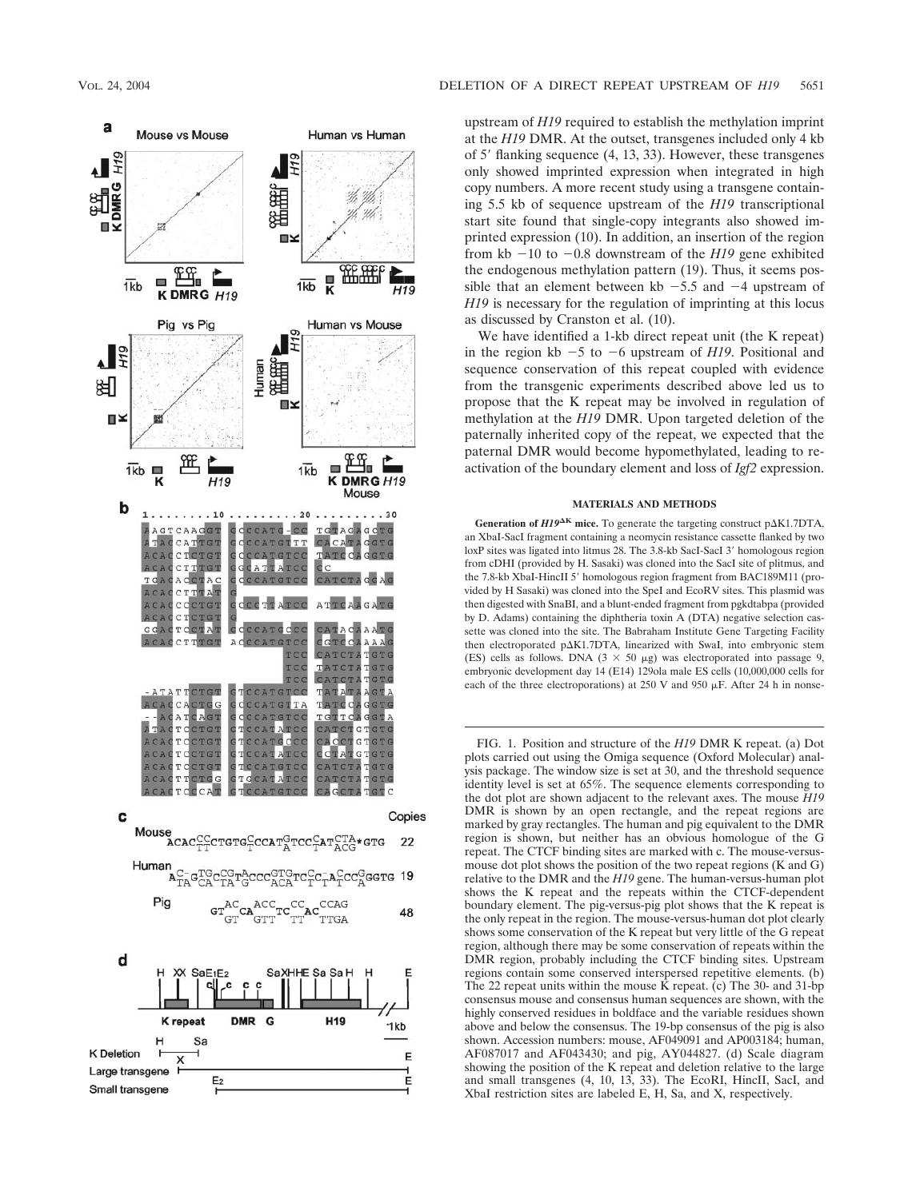

upstream of *H19* required to establish the methylation imprint at the *H19* DMR. At the outset, transgenes included only 4 kb of 5' flanking sequence (4, 13, 33). However, these transgenes only showed imprinted expression when integrated in high copy numbers. A more recent study using a transgene containing 5.5 kb of sequence upstream of the *H19* transcriptional start site found that single-copy integrants also showed imprinted expression (10). In addition, an insertion of the region from kb  $-10$  to  $-0.8$  downstream of the *H19* gene exhibited the endogenous methylation pattern (19). Thus, it seems possible that an element between kb  $-5.5$  and  $-4$  upstream of *H19* is necessary for the regulation of imprinting at this locus as discussed by Cranston et al. (10).

We have identified a 1-kb direct repeat unit (the K repeat) in the region kb  $-5$  to  $-6$  upstream of *H19*. Positional and sequence conservation of this repeat coupled with evidence from the transgenic experiments described above led us to propose that the K repeat may be involved in regulation of methylation at the *H19* DMR. Upon targeted deletion of the paternally inherited copy of the repeat, we expected that the paternal DMR would become hypomethylated, leading to reactivation of the boundary element and loss of *Igf2* expression.

# **MATERIALS AND METHODS**

**Generation of**  $HI9^{\Delta K}$  **mice.** To generate the targeting construct p $\Delta K1.7DTA$ , an XbaI-SacI fragment containing a neomycin resistance cassette flanked by two loxP sites was ligated into litmus 28. The 3.8-kb SacI-SacI 3' homologous region from cDHI (provided by H. Sasaki) was cloned into the SacI site of plitmus, and the 7.8-kb XbaI-HincII 5' homologous region fragment from BAC189M11 (provided by H Sasaki) was cloned into the SpeI and EcoRV sites. This plasmid was then digested with SnaBI, and a blunt-ended fragment from pgkdtabpa (provided by D. Adams) containing the diphtheria toxin A (DTA) negative selection cassette was cloned into the site. The Babraham Institute Gene Targeting Facility then electroporated p $\Delta$ K1.7DTA, linearized with SwaI, into embryonic stem (ES) cells as follows. DNA ( $3 \times 50 \mu$ g) was electroporated into passage 9, embryonic development day 14 (E14) 129ola male ES cells (10,000,000 cells for each of the three electroporations) at 250 V and 950  $\mu$ F. After 24 h in nonse-

FIG. 1. Position and structure of the *H19* DMR K repeat. (a) Dot plots carried out using the Omiga sequence (Oxford Molecular) analysis package. The window size is set at 30, and the threshold sequence identity level is set at 65%. The sequence elements corresponding to the dot plot are shown adjacent to the relevant axes. The mouse *H19* DMR is shown by an open rectangle, and the repeat regions are marked by gray rectangles. The human and pig equivalent to the DMR region is shown, but neither has an obvious homologue of the G repeat. The CTCF binding sites are marked with c. The mouse-versusmouse dot plot shows the position of the two repeat regions (K and G) relative to the DMR and the *H19* gene. The human-versus-human plot shows the K repeat and the repeats within the CTCF-dependent boundary element. The pig-versus-pig plot shows that the K repeat is the only repeat in the region. The mouse-versus-human dot plot clearly shows some conservation of the K repeat but very little of the G repeat region, although there may be some conservation of repeats within the DMR region, probably including the CTCF binding sites. Upstream regions contain some conserved interspersed repetitive elements. (b) The 22 repeat units within the mouse K repeat. (c) The 30- and 31-bp consensus mouse and consensus human sequences are shown, with the highly conserved residues in boldface and the variable residues shown above and below the consensus. The 19-bp consensus of the pig is also shown. Accession numbers: mouse, AF049091 and AP003184; human, AF087017 and AF043430; and pig, AY044827. (d) Scale diagram showing the position of the K repeat and deletion relative to the large and small transgenes (4, 10, 13, 33). The EcoRI, HincII, SacI, and XbaI restriction sites are labeled E, H, Sa, and X, respectively.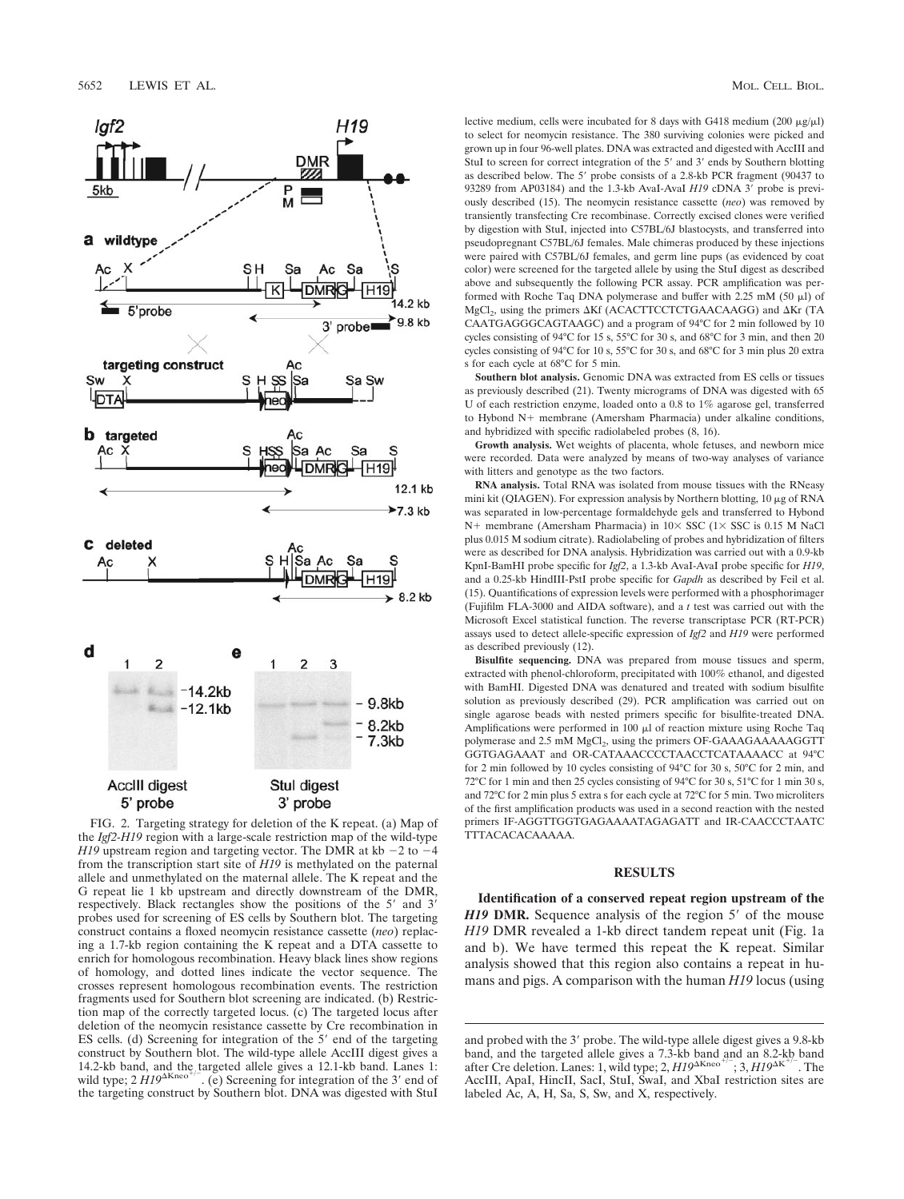

FIG. 2. Targeting strategy for deletion of the K repeat. (a) Map of the *Igf2-H19* region with a large-scale restriction map of the wild-type *H19* upstream region and targeting vector. The DMR at kb  $-2$  to  $-4$ from the transcription start site of *H19* is methylated on the paternal allele and unmethylated on the maternal allele. The K repeat and the G repeat lie 1 kb upstream and directly downstream of the DMR, respectively. Black rectangles show the positions of the 5' and 3' probes used for screening of ES cells by Southern blot. The targeting construct contains a floxed neomycin resistance cassette (*neo*) replacing a 1.7-kb region containing the K repeat and a DTA cassette to enrich for homologous recombination. Heavy black lines show regions of homology, and dotted lines indicate the vector sequence. The crosses represent homologous recombination events. The restriction fragments used for Southern blot screening are indicated. (b) Restriction map of the correctly targeted locus. (c) The targeted locus after deletion of the neomycin resistance cassette by Cre recombination in ES cells. (d) Screening for integration of the 5' end of the targeting construct by Southern blot. The wild-type allele AccIII digest gives a 14.2-kb band, and the targeted allele gives a 12.1-kb band. Lanes 1:<br>wild type;  $2 H19^{\text{AKneo}}$ . (e) Screening for integration of the 3' end of the targeting construct by Southern blot. DNA was digested with StuI

lective medium, cells were incubated for 8 days with G418 medium (200  $\mu$ g/ $\mu$ l) to select for neomycin resistance. The 380 surviving colonies were picked and grown up in four 96-well plates. DNA was extracted and digested with AccIII and StuI to screen for correct integration of the 5' and 3' ends by Southern blotting as described below. The 5' probe consists of a 2.8-kb PCR fragment (90437 to 93289 from AP03184) and the 1.3-kb AvaI-AvaI *H19* cDNA 3' probe is previously described (15). The neomycin resistance cassette (*neo*) was removed by transiently transfecting Cre recombinase. Correctly excised clones were verified by digestion with StuI, injected into C57BL/6J blastocysts, and transferred into pseudopregnant C57BL/6J females. Male chimeras produced by these injections were paired with C57BL/6J females, and germ line pups (as evidenced by coat color) were screened for the targeted allele by using the StuI digest as described above and subsequently the following PCR assay. PCR amplification was performed with Roche Taq DNA polymerase and buffer with  $2.25$  mM (50  $\mu$ l) of  $MgCl<sub>2</sub>$ , using the primers  $\Delta Kf$  (ACACTTCCTCTGAACAAGG) and  $\Delta Kr$  (TA CAATGAGGGCAGTAAGC) and a program of 94°C for 2 min followed by 10 cycles consisting of 94°C for 15 s, 55°C for 30 s, and 68°C for 3 min, and then 20 cycles consisting of 94°C for 10 s, 55°C for 30 s, and 68°C for 3 min plus 20 extra s for each cycle at 68°C for 5 min.

**Southern blot analysis.** Genomic DNA was extracted from ES cells or tissues as previously described (21). Twenty micrograms of DNA was digested with 65 U of each restriction enzyme, loaded onto a 0.8 to 1% agarose gel, transferred to Hybond  $N+$  membrane (Amersham Pharmacia) under alkaline conditions, and hybridized with specific radiolabeled probes (8, 16).

**Growth analysis.** Wet weights of placenta, whole fetuses, and newborn mice were recorded. Data were analyzed by means of two-way analyses of variance with litters and genotype as the two factors.

**RNA analysis.** Total RNA was isolated from mouse tissues with the RNeasy mini kit (QIAGEN). For expression analysis by Northern blotting,  $10 \mu$ g of RNA was separated in low-percentage formaldehyde gels and transferred to Hybond  $N+$  membrane (Amersham Pharmacia) in  $10\times$  SSC ( $1\times$  SSC is 0.15 M NaCl plus 0.015 M sodium citrate). Radiolabeling of probes and hybridization of filters were as described for DNA analysis. Hybridization was carried out with a 0.9-kb KpnI-BamHI probe specific for *Igf2*, a 1.3-kb AvaI-AvaI probe specific for *H19*, and a 0.25-kb HindIII-PstI probe specific for *Gapdh* as described by Feil et al. (15). Quantifications of expression levels were performed with a phosphorimager (Fujifilm FLA-3000 and AIDA software), and a *t* test was carried out with the Microsoft Excel statistical function. The reverse transcriptase PCR (RT-PCR) assays used to detect allele-specific expression of *Igf2* and *H19* were performed as described previously (12).

**Bisulfite sequencing.** DNA was prepared from mouse tissues and sperm, extracted with phenol-chloroform, precipitated with 100% ethanol, and digested with BamHI. Digested DNA was denatured and treated with sodium bisulfite solution as previously described (29). PCR amplification was carried out on single agarose beads with nested primers specific for bisulfite-treated DNA. Amplifications were performed in  $100 \mu l$  of reaction mixture using Roche Taq polymerase and 2.5 mM MgCl<sub>2</sub>, using the primers OF-GAAAGAAAAAGGTT GGTGAGAAAT and OR-CATAAACCCCTAACCTCATAAAACC at 94°C for 2 min followed by 10 cycles consisting of 94°C for 30 s, 50°C for 2 min, and 72°C for 1 min and then 25 cycles consisting of 94°C for 30 s, 51°C for 1 min 30 s, and 72°C for 2 min plus 5 extra s for each cycle at 72°C for 5 min. Two microliters of the first amplification products was used in a second reaction with the nested primers IF-AGGTTGGTGAGAAAATAGAGATT and IR-CAACCCTAATC TTTACACACAAAAA.

## **RESULTS**

**Identification of a conserved repeat region upstream of the** *H19* **DMR.** Sequence analysis of the region 5' of the mouse *H19* DMR revealed a 1-kb direct tandem repeat unit (Fig. 1a and b). We have termed this repeat the K repeat. Similar analysis showed that this region also contains a repeat in humans and pigs. A comparison with the human *H19* locus (using

and probed with the 3' probe. The wild-type allele digest gives a 9.8-kb band, and the targeted allele gives a 7.3-kb band and an 8.2-kb band<br>after Cre deletion. Lanes: 1, wild type; 2, *H19*<sup>AKneo</sub><sup>+/-</sup>; 3, *H19*<sup>AK+/-</sup>. The</sup> AccIII, ApaI, HincII, SacI, StuI, SwaI, and XbaI restriction sites are labeled Ac, A, H, Sa, S, Sw, and X, respectively.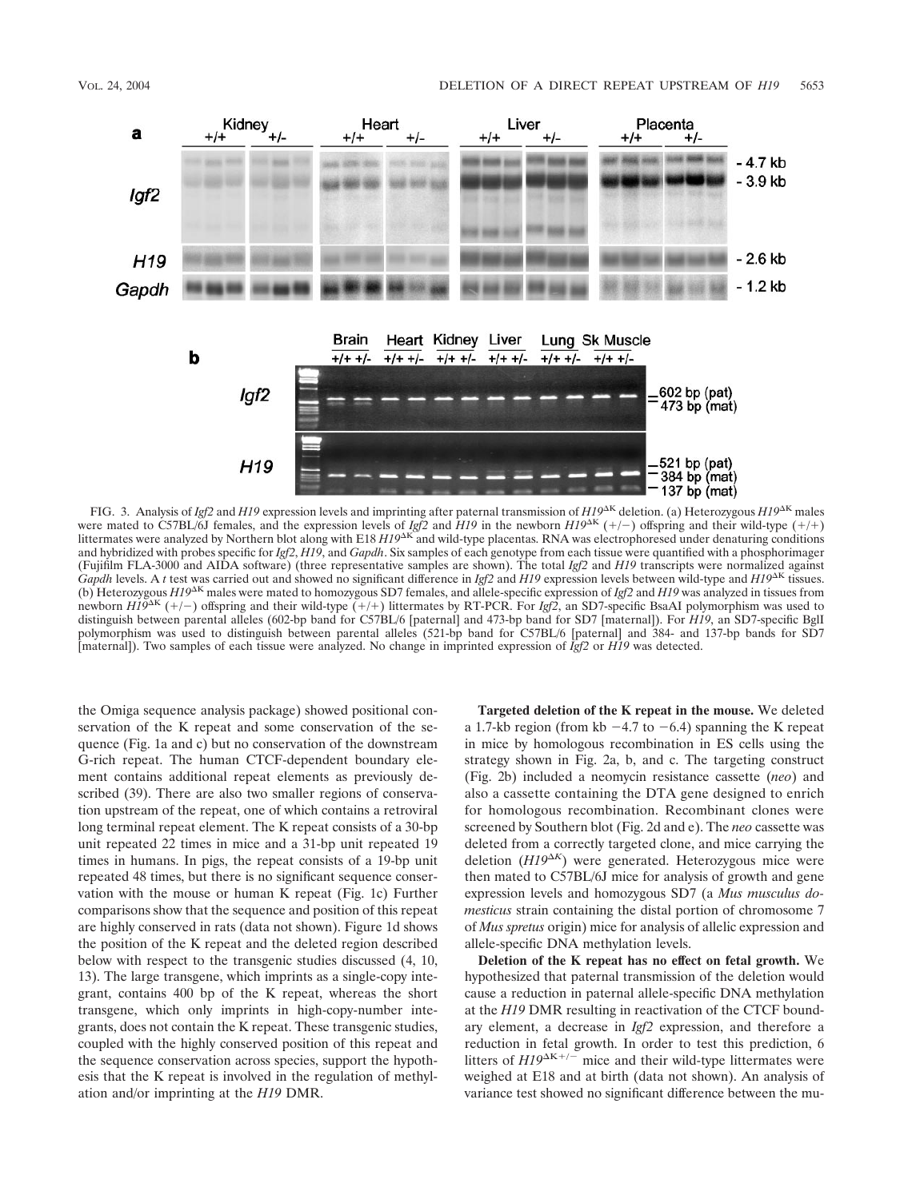

FIG. 3. Analysis of *Igf2* and *H19* expression levels and imprinting after paternal transmission of  $H19^{\text{AK}}$  deletion. (a) Heterozygous  $H19^{\text{AK}}$  males were mated to C57BL/6J females, and the expression levels of *Igf2* and *H19* in the newborn  $H19^{\text{AK}}$  (+/-) offspring and their wild-type (+/+) littermates were analyzed by Northern blot along with E18 *H19*<sup>AK</sup> and wild-type placentas. RNA was electrophoresed under denaturing conditions and hybridized with probes specific for *Igf2*, *H19*, and *Gapdh*. Six samples of each genotype from each tissue were quantified with a phosphorimager (Fujifilm FLA-3000 and AIDA software) (three representative samples are shown). The total *Igf2* and *H19* transcripts were normalized against *Gapdh* levels. A *t* test was carried out and showed no significant difference in *Igf2* and *H19* expression levels between wild-type and *H19*<sup>AK</sup> tissues. (b) Heterozygous  $H19^{\text{AK}}$  males were mated to homozygous SD7 females, and allele-specific expression of *Igf2* and *H19* was analyzed in tissues from newborn  $H19^{\text{AK}}$  (+/-) offspring and their wild-type (+/+) littermates by RT-PCR. For *Igf2*, an SD7-specific BsaAI polymorphism was used to distinguish between parental alleles (602-bp band for C57BL/6 [paternal] and 473-bp band for SD7 [maternal]). For *H19*, an SD7-specific BglI polymorphism was used to distinguish between parental alleles (521-bp band for C57BL/6 [paternal] and 384- and 137-bp bands for SD7 [maternal]). Two samples of each tissue were analyzed. No change in imprinted expression of *Igf2* or *H19* was detected.

the Omiga sequence analysis package) showed positional conservation of the K repeat and some conservation of the sequence (Fig. 1a and c) but no conservation of the downstream G-rich repeat. The human CTCF-dependent boundary element contains additional repeat elements as previously described (39). There are also two smaller regions of conservation upstream of the repeat, one of which contains a retroviral long terminal repeat element. The K repeat consists of a 30-bp unit repeated 22 times in mice and a 31-bp unit repeated 19 times in humans. In pigs, the repeat consists of a 19-bp unit repeated 48 times, but there is no significant sequence conservation with the mouse or human K repeat (Fig. 1c) Further comparisons show that the sequence and position of this repeat are highly conserved in rats (data not shown). Figure 1d shows the position of the K repeat and the deleted region described below with respect to the transgenic studies discussed (4, 10, 13). The large transgene, which imprints as a single-copy integrant, contains 400 bp of the K repeat, whereas the short transgene, which only imprints in high-copy-number integrants, does not contain the K repeat. These transgenic studies, coupled with the highly conserved position of this repeat and the sequence conservation across species, support the hypothesis that the K repeat is involved in the regulation of methylation and/or imprinting at the *H19* DMR.

**Targeted deletion of the K repeat in the mouse.** We deleted a 1.7-kb region (from kb  $-4.7$  to  $-6.4$ ) spanning the K repeat in mice by homologous recombination in ES cells using the strategy shown in Fig. 2a, b, and c. The targeting construct (Fig. 2b) included a neomycin resistance cassette (*neo*) and also a cassette containing the DTA gene designed to enrich for homologous recombination. Recombinant clones were screened by Southern blot (Fig. 2d and e). The *neo* cassette was deleted from a correctly targeted clone, and mice carrying the deletion (*H19<sup>K</sup>* ) were generated. Heterozygous mice were then mated to C57BL/6J mice for analysis of growth and gene expression levels and homozygous SD7 (a *Mus musculus domesticus* strain containing the distal portion of chromosome 7 of *Mus spretus* origin) mice for analysis of allelic expression and allele-specific DNA methylation levels.

**Deletion of the K repeat has no effect on fetal growth.** We hypothesized that paternal transmission of the deletion would cause a reduction in paternal allele-specific DNA methylation at the *H19* DMR resulting in reactivation of the CTCF boundary element, a decrease in *Igf2* expression, and therefore a reduction in fetal growth. In order to test this prediction, 6 litters of  $H19^{\Delta K+/-}$  mice and their wild-type littermates were weighed at E18 and at birth (data not shown). An analysis of variance test showed no significant difference between the mu-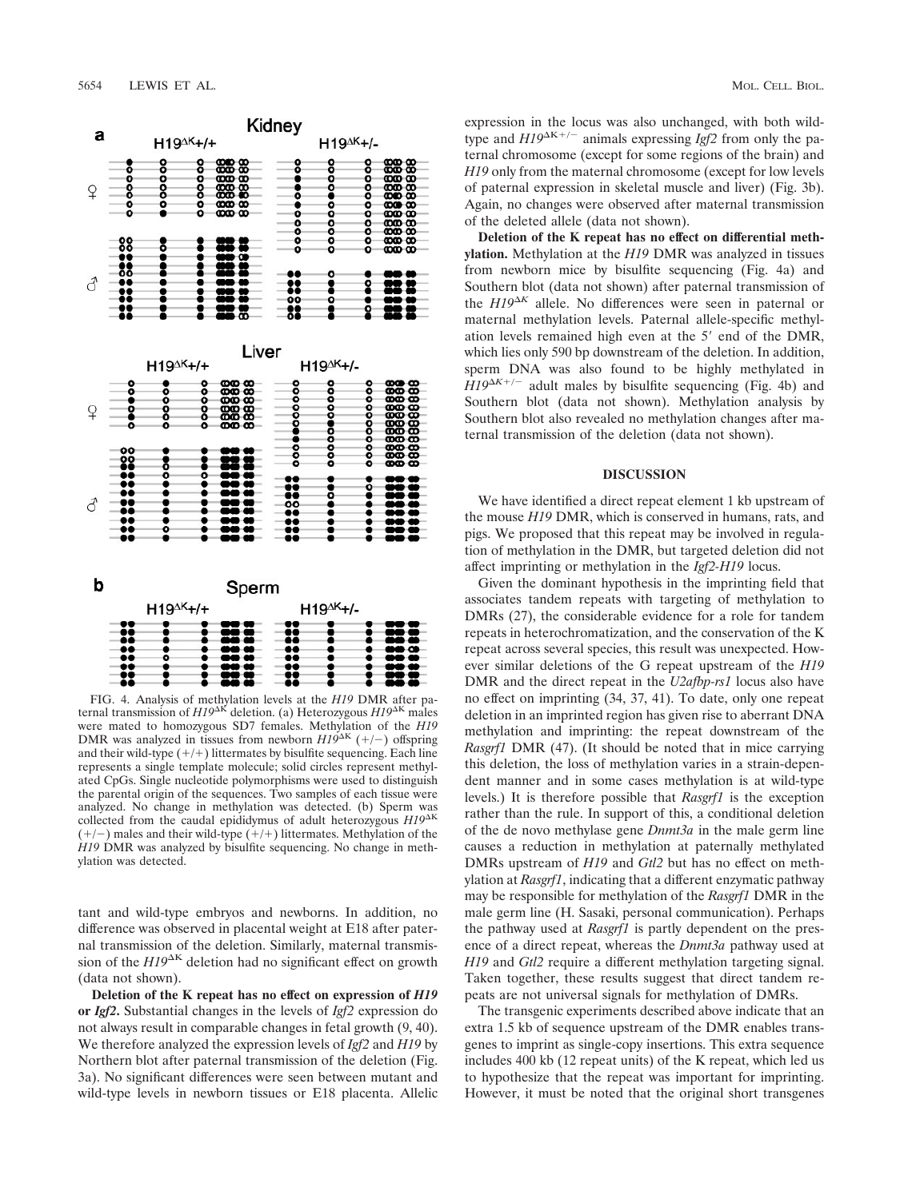

FIG. 4. Analysis of methylation levels at the *H19* DMR after paternal transmission of  $H19^{\Delta K}$  deletion. (a) Heterozygous  $H19^{\Delta K}$  males were mated to homozygous SD7 females. Methylation of the *H19* DMR was analyzed in tissues from newborn  $H19^{\Delta K}$  (+/-) offspring and their wild-type  $(+/+)$  littermates by bisulfite sequencing. Each line represents a single template molecule; solid circles represent methylated CpGs. Single nucleotide polymorphisms were used to distinguish the parental origin of the sequences. Two samples of each tissue were analyzed. No change in methylation was detected. (b) Sperm was collected from the caudal epididymus of adult heterozygous *H19*<sup>K</sup>  $(+/-)$  males and their wild-type  $(+/+)$  littermates. Methylation of the *H19* DMR was analyzed by bisulfite sequencing. No change in methylation was detected.

tant and wild-type embryos and newborns. In addition, no difference was observed in placental weight at E18 after paternal transmission of the deletion. Similarly, maternal transmission of the  $H19^{\Delta K}$  deletion had no significant effect on growth (data not shown).

**Deletion of the K repeat has no effect on expression of** *H19* **or** *Igf2***.** Substantial changes in the levels of *Igf2* expression do not always result in comparable changes in fetal growth (9, 40). We therefore analyzed the expression levels of *Igf2* and *H19* by Northern blot after paternal transmission of the deletion (Fig. 3a). No significant differences were seen between mutant and wild-type levels in newborn tissues or E18 placenta. Allelic expression in the locus was also unchanged, with both wildtype and  $H19^{\Delta K+/-}$  animals expressing *Igf2* from only the paternal chromosome (except for some regions of the brain) and *H19* only from the maternal chromosome (except for low levels of paternal expression in skeletal muscle and liver) (Fig. 3b). Again, no changes were observed after maternal transmission of the deleted allele (data not shown).

**Deletion of the K repeat has no effect on differential methylation.** Methylation at the *H19* DMR was analyzed in tissues from newborn mice by bisulfite sequencing (Fig. 4a) and Southern blot (data not shown) after paternal transmission of the  $H19^{\Delta K}$  allele. No differences were seen in paternal or maternal methylation levels. Paternal allele-specific methylation levels remained high even at the 5' end of the DMR, which lies only 590 bp downstream of the deletion. In addition, sperm DNA was also found to be highly methylated in  $H19^{\Delta K+/-}$  adult males by bisulfite sequencing (Fig. 4b) and Southern blot (data not shown). Methylation analysis by Southern blot also revealed no methylation changes after maternal transmission of the deletion (data not shown).

# **DISCUSSION**

We have identified a direct repeat element 1 kb upstream of the mouse *H19* DMR, which is conserved in humans, rats, and pigs. We proposed that this repeat may be involved in regulation of methylation in the DMR, but targeted deletion did not affect imprinting or methylation in the *Igf2-H19* locus.

Given the dominant hypothesis in the imprinting field that associates tandem repeats with targeting of methylation to DMRs (27), the considerable evidence for a role for tandem repeats in heterochromatization, and the conservation of the K repeat across several species, this result was unexpected. However similar deletions of the G repeat upstream of the *H19* DMR and the direct repeat in the *U2afbp-rs1* locus also have no effect on imprinting (34, 37, 41). To date, only one repeat deletion in an imprinted region has given rise to aberrant DNA methylation and imprinting: the repeat downstream of the *Rasgrf1* DMR (47). (It should be noted that in mice carrying this deletion, the loss of methylation varies in a strain-dependent manner and in some cases methylation is at wild-type levels.) It is therefore possible that *Rasgrf1* is the exception rather than the rule. In support of this, a conditional deletion of the de novo methylase gene *Dnmt3a* in the male germ line causes a reduction in methylation at paternally methylated DMRs upstream of *H19* and *Gtl2* but has no effect on methylation at *Rasgrf1*, indicating that a different enzymatic pathway may be responsible for methylation of the *Rasgrf1* DMR in the male germ line (H. Sasaki, personal communication). Perhaps the pathway used at *Rasgrf1* is partly dependent on the presence of a direct repeat, whereas the *Dnmt3a* pathway used at *H19* and *Gtl2* require a different methylation targeting signal. Taken together, these results suggest that direct tandem repeats are not universal signals for methylation of DMRs.

The transgenic experiments described above indicate that an extra 1.5 kb of sequence upstream of the DMR enables transgenes to imprint as single-copy insertions. This extra sequence includes 400 kb (12 repeat units) of the K repeat, which led us to hypothesize that the repeat was important for imprinting. However, it must be noted that the original short transgenes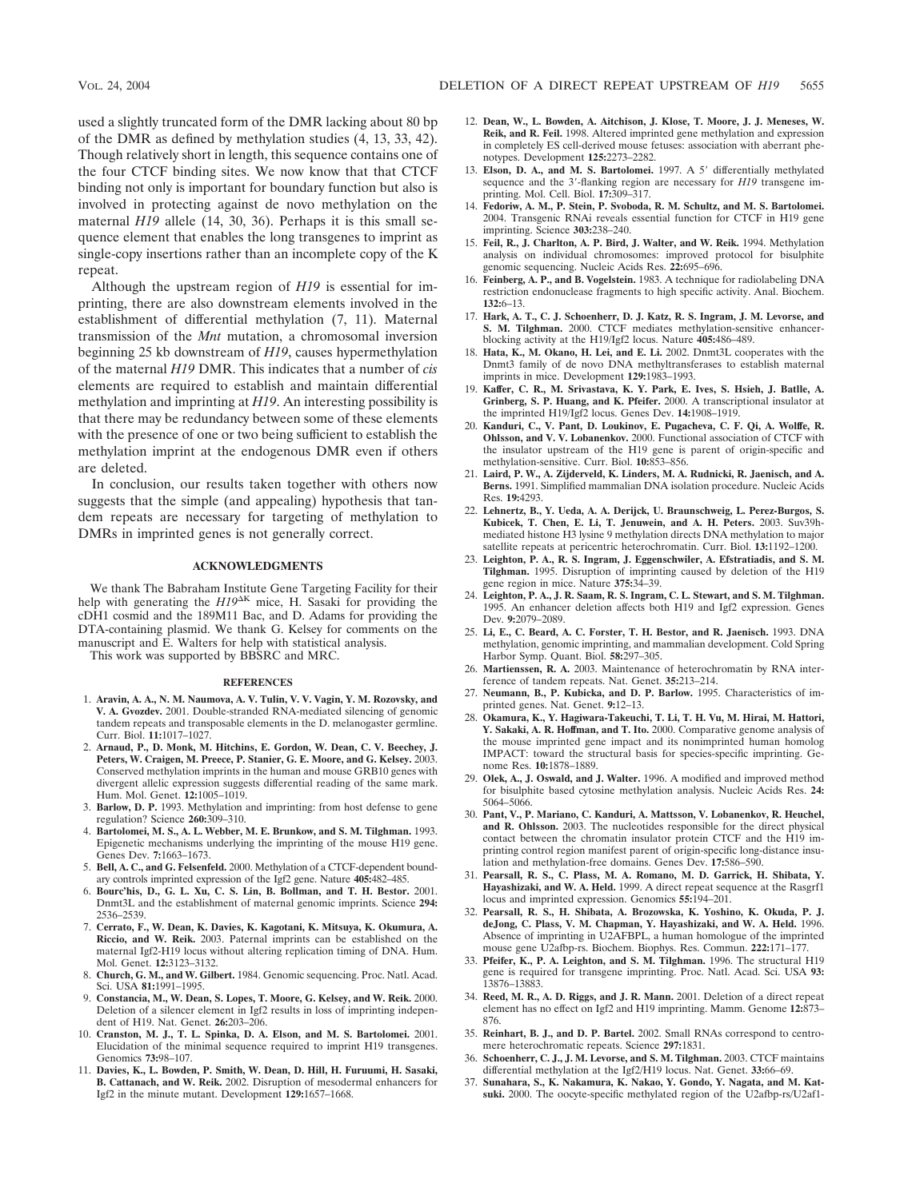used a slightly truncated form of the DMR lacking about 80 bp of the DMR as defined by methylation studies (4, 13, 33, 42). Though relatively short in length, this sequence contains one of the four CTCF binding sites. We now know that that CTCF binding not only is important for boundary function but also is involved in protecting against de novo methylation on the maternal *H19* allele (14, 30, 36). Perhaps it is this small sequence element that enables the long transgenes to imprint as single-copy insertions rather than an incomplete copy of the K repeat.

Although the upstream region of *H19* is essential for imprinting, there are also downstream elements involved in the establishment of differential methylation (7, 11). Maternal transmission of the *Mnt* mutation, a chromosomal inversion beginning 25 kb downstream of *H19*, causes hypermethylation of the maternal *H19* DMR. This indicates that a number of *cis* elements are required to establish and maintain differential methylation and imprinting at *H19*. An interesting possibility is that there may be redundancy between some of these elements with the presence of one or two being sufficient to establish the methylation imprint at the endogenous DMR even if others are deleted.

In conclusion, our results taken together with others now suggests that the simple (and appealing) hypothesis that tandem repeats are necessary for targeting of methylation to DMRs in imprinted genes is not generally correct.

## **ACKNOWLEDGMENTS**

We thank The Babraham Institute Gene Targeting Facility for their help with generating the  $H19^{\Delta K}$  mice, H. Sasaki for providing the cDH1 cosmid and the 189M11 Bac, and D. Adams for providing the DTA-containing plasmid. We thank G. Kelsey for comments on the manuscript and E. Walters for help with statistical analysis.

This work was supported by BBSRC and MRC.

#### **REFERENCES**

- 1. **Aravin, A. A., N. M. Naumova, A. V. Tulin, V. V. Vagin, Y. M. Rozovsky, and V. A. Gvozdev.** 2001. Double-stranded RNA-mediated silencing of genomic tandem repeats and transposable elements in the D. melanogaster germline. Curr. Biol. **11:**1017–1027.
- 2. **Arnaud, P., D. Monk, M. Hitchins, E. Gordon, W. Dean, C. V. Beechey, J. Peters, W. Craigen, M. Preece, P. Stanier, G. E. Moore, and G. Kelsey.** 2003. Conserved methylation imprints in the human and mouse GRB10 genes with divergent allelic expression suggests differential reading of the same mark. Hum. Mol. Genet. **12:**1005–1019.
- 3. **Barlow, D. P.** 1993. Methylation and imprinting: from host defense to gene regulation? Science **260:**309–310.
- 4. **Bartolomei, M. S., A. L. Webber, M. E. Brunkow, and S. M. Tilghman.** 1993. Epigenetic mechanisms underlying the imprinting of the mouse H19 gene. Genes Dev. **7:**1663–1673.
- 5. **Bell, A. C., and G. Felsenfeld.** 2000. Methylation of a CTCF-dependent boundary controls imprinted expression of the Igf2 gene. Nature **405:**482–485.
- 6. **Bourc'his, D., G. L. Xu, C. S. Lin, B. Bollman, and T. H. Bestor.** 2001. Dnmt3L and the establishment of maternal genomic imprints. Science **294:** 2536–2539.
- 7. **Cerrato, F., W. Dean, K. Davies, K. Kagotani, K. Mitsuya, K. Okumura, A. Riccio, and W. Reik.** 2003. Paternal imprints can be established on the maternal Igf2-H19 locus without altering replication timing of DNA. Hum. Mol. Genet. **12:**3123–3132.
- 8. **Church, G. M., and W. Gilbert.** 1984. Genomic sequencing. Proc. Natl. Acad. Sci. USA **81:**1991–1995.
- 9. **Constancia, M., W. Dean, S. Lopes, T. Moore, G. Kelsey, and W. Reik.** 2000. Deletion of a silencer element in Igf2 results in loss of imprinting independent of H19. Nat. Genet. **26:**203–206.
- 10. **Cranston, M. J., T. L. Spinka, D. A. Elson, and M. S. Bartolomei.** 2001. Elucidation of the minimal sequence required to imprint H19 transgenes. Genomics **73:**98–107.
- 11. **Davies, K., L. Bowden, P. Smith, W. Dean, D. Hill, H. Furuumi, H. Sasaki, B. Cattanach, and W. Reik.** 2002. Disruption of mesodermal enhancers for Igf2 in the minute mutant. Development **129:**1657–1668.
- 12. **Dean, W., L. Bowden, A. Aitchison, J. Klose, T. Moore, J. J. Meneses, W. Reik, and R. Feil.** 1998. Altered imprinted gene methylation and expression in completely ES cell-derived mouse fetuses: association with aberrant phenotypes. Development **125:**2273–2282.
- 13. Elson, D. A., and M. S. Bartolomei. 1997. A 5' differentially methylated sequence and the 3'-flanking region are necessary for *H19* transgene imprinting. Mol. Cell. Biol. **17:**309–317.
- 14. **Fedoriw, A. M., P. Stein, P. Svoboda, R. M. Schultz, and M. S. Bartolomei.** 2004. Transgenic RNAi reveals essential function for CTCF in H19 gene imprinting. Science **303:**238–240.
- 15. **Feil, R., J. Charlton, A. P. Bird, J. Walter, and W. Reik.** 1994. Methylation analysis on individual chromosomes: improved protocol for bisulphite genomic sequencing. Nucleic Acids Res. **22:**695–696.
- 16. **Feinberg, A. P., and B. Vogelstein.** 1983. A technique for radiolabeling DNA restriction endonuclease fragments to high specific activity. Anal. Biochem. **132:**6–13.
- 17. **Hark, A. T., C. J. Schoenherr, D. J. Katz, R. S. Ingram, J. M. Levorse, and S. M. Tilghman.** 2000. CTCF mediates methylation-sensitive enhancerblocking activity at the H19/Igf2 locus. Nature **405:**486–489.
- 18. **Hata, K., M. Okano, H. Lei, and E. Li.** 2002. Dnmt3L cooperates with the Dnmt3 family of de novo DNA methyltransferases to establish maternal imprints in mice. Development **129:**1983–1993.
- 19. **Kaffer, C. R., M. Srivastava, K. Y. Park, E. Ives, S. Hsieh, J. Batlle, A. Grinberg, S. P. Huang, and K. Pfeifer.** 2000. A transcriptional insulator at the imprinted H19/Igf2 locus. Genes Dev. **14:**1908–1919.
- 20. **Kanduri, C., V. Pant, D. Loukinov, E. Pugacheva, C. F. Qi, A. Wolffe, R. Ohlsson, and V. V. Lobanenkov.** 2000. Functional association of CTCF with the insulator upstream of the H19 gene is parent of origin-specific and methylation-sensitive. Curr. Biol. **10:**853–856.
- 21. **Laird, P. W., A. Zijderveld, K. Linders, M. A. Rudnicki, R. Jaenisch, and A. Berns.** 1991. Simplified mammalian DNA isolation procedure. Nucleic Acids Res. **19:**4293.
- 22. **Lehnertz, B., Y. Ueda, A. A. Derijck, U. Braunschweig, L. Perez-Burgos, S. Kubicek, T. Chen, E. Li, T. Jenuwein, and A. H. Peters.** 2003. Suv39hmediated histone H3 lysine 9 methylation directs DNA methylation to major satellite repeats at pericentric heterochromatin. Curr. Biol. **13:**1192–1200.
- 23. **Leighton, P. A., R. S. Ingram, J. Eggenschwiler, A. Efstratiadis, and S. M. Tilghman.** 1995. Disruption of imprinting caused by deletion of the H19 gene region in mice. Nature **375:**34–39.
- 24. **Leighton, P. A., J. R. Saam, R. S. Ingram, C. L. Stewart, and S. M. Tilghman.** 1995. An enhancer deletion affects both H19 and Igf2 expression. Genes Dev. **9:**2079–2089.
- 25. **Li, E., C. Beard, A. C. Forster, T. H. Bestor, and R. Jaenisch.** 1993. DNA methylation, genomic imprinting, and mammalian development. Cold Spring Harbor Symp. Quant. Biol. **58:**297–305.
- 26. **Martienssen, R. A.** 2003. Maintenance of heterochromatin by RNA interference of tandem repeats. Nat. Genet. **35:**213–214.
- 27. **Neumann, B., P. Kubicka, and D. P. Barlow.** 1995. Characteristics of imprinted genes. Nat. Genet. **9:**12–13.
- 28. **Okamura, K., Y. Hagiwara-Takeuchi, T. Li, T. H. Vu, M. Hirai, M. Hattori, Y. Sakaki, A. R. Hoffman, and T. Ito.** 2000. Comparative genome analysis of the mouse imprinted gene impact and its nonimprinted human homolog IMPACT: toward the structural basis for species-specific imprinting. Genome Res. **10:**1878–1889.
- 29. **Olek, A., J. Oswald, and J. Walter.** 1996. A modified and improved method for bisulphite based cytosine methylation analysis. Nucleic Acids Res. **24:** 5064–5066.
- 30. **Pant, V., P. Mariano, C. Kanduri, A. Mattsson, V. Lobanenkov, R. Heuchel, and R. Ohlsson.** 2003. The nucleotides responsible for the direct physical contact between the chromatin insulator protein CTCF and the H19 imprinting control region manifest parent of origin-specific long-distance insulation and methylation-free domains. Genes Dev. **17:**586–590.
- 31. **Pearsall, R. S., C. Plass, M. A. Romano, M. D. Garrick, H. Shibata, Y. Hayashizaki, and W. A. Held.** 1999. A direct repeat sequence at the Rasgrf1 locus and imprinted expression. Genomics **55:**194–201.
- 32. **Pearsall, R. S., H. Shibata, A. Brozowska, K. Yoshino, K. Okuda, P. J. deJong, C. Plass, V. M. Chapman, Y. Hayashizaki, and W. A. Held.** 1996. Absence of imprinting in U2AFBPL, a human homologue of the imprinted mouse gene U2afbp-rs. Biochem. Biophys. Res. Commun. **222:**171–177.
- 33. **Pfeifer, K., P. A. Leighton, and S. M. Tilghman.** 1996. The structural H19 gene is required for transgene imprinting. Proc. Natl. Acad. Sci. USA **93:** 13876–13883.
- 34. **Reed, M. R., A. D. Riggs, and J. R. Mann.** 2001. Deletion of a direct repeat element has no effect on Igf2 and H19 imprinting. Mamm. Genome **12:**873– 876.
- 35. **Reinhart, B. J., and D. P. Bartel.** 2002. Small RNAs correspond to centromere heterochromatic repeats. Science **297:**1831.
- 36. **Schoenherr, C. J., J. M. Levorse, and S. M. Tilghman.** 2003. CTCF maintains differential methylation at the Igf2/H19 locus. Nat. Genet. **33:**66–69.
- 37. **Sunahara, S., K. Nakamura, K. Nakao, Y. Gondo, Y. Nagata, and M. Katsuki.** 2000. The oocyte-specific methylated region of the U2afbp-rs/U2af1-